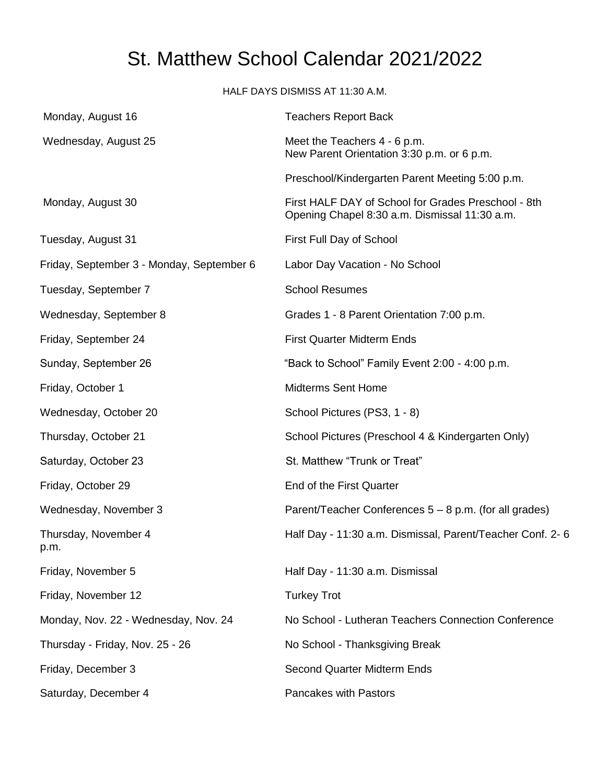## St. Matthew School Calendar 2021/2022

HALF DAYS DISMISS AT 11:30 A.M.

| Monday, August 16                         | <b>Teachers Report Back</b>                                                                          |
|-------------------------------------------|------------------------------------------------------------------------------------------------------|
| Wednesday, August 25                      | Meet the Teachers 4 - 6 p.m.<br>New Parent Orientation 3:30 p.m. or 6 p.m.                           |
|                                           | Preschool/Kindergarten Parent Meeting 5:00 p.m.                                                      |
| Monday, August 30                         | First HALF DAY of School for Grades Preschool - 8th<br>Opening Chapel 8:30 a.m. Dismissal 11:30 a.m. |
| Tuesday, August 31                        | First Full Day of School                                                                             |
| Friday, September 3 - Monday, September 6 | Labor Day Vacation - No School                                                                       |
| Tuesday, September 7                      | <b>School Resumes</b>                                                                                |
| Wednesday, September 8                    | Grades 1 - 8 Parent Orientation 7:00 p.m.                                                            |
| Friday, September 24                      | <b>First Quarter Midterm Ends</b>                                                                    |
| Sunday, September 26                      | "Back to School" Family Event 2:00 - 4:00 p.m.                                                       |
| Friday, October 1                         | <b>Midterms Sent Home</b>                                                                            |
| Wednesday, October 20                     | School Pictures (PS3, 1 - 8)                                                                         |
| Thursday, October 21                      | School Pictures (Preschool 4 & Kindergarten Only)                                                    |
| Saturday, October 23                      | St. Matthew "Trunk or Treat"                                                                         |
| Friday, October 29                        | End of the First Quarter                                                                             |
| Wednesday, November 3                     | Parent/Teacher Conferences 5 - 8 p.m. (for all grades)                                               |
| Thursday, November 4<br>p.m.              | Half Day - 11:30 a.m. Dismissal, Parent/Teacher Conf. 2-6                                            |
| Friday, November 5                        | Half Day - 11:30 a.m. Dismissal                                                                      |
| Friday, November 12                       | <b>Turkey Trot</b>                                                                                   |
| Monday, Nov. 22 - Wednesday, Nov. 24      | No School - Lutheran Teachers Connection Conference                                                  |
| Thursday - Friday, Nov. 25 - 26           | No School - Thanksgiving Break                                                                       |
| Friday, December 3                        | <b>Second Quarter Midterm Ends</b>                                                                   |
| Saturday, December 4                      | Pancakes with Pastors                                                                                |